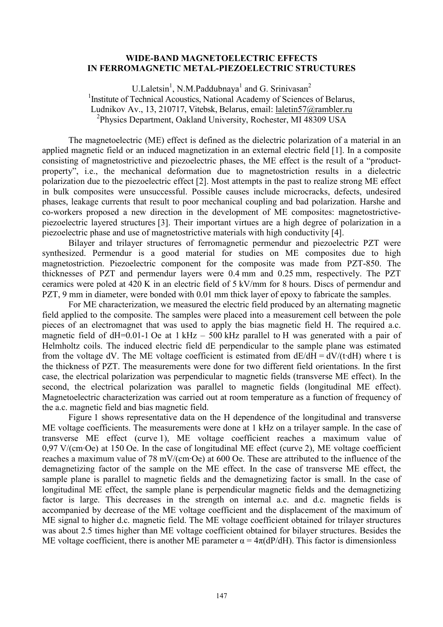## **WIDE-BAND MAGNETOELECTRIC EFFECTS IN FERROMAGNETIC METAL-PIEZOELECTRIC STRUCTURES**

U.Laletsin<sup>1</sup>, N.M.Paddubnaya<sup>1</sup> and G. Srinivasan<sup>2</sup> <sup>1</sup>Institute of Technical Acoustics, National Academy of Sciences of Belarus, Ludnikov Av., 13, 210717, Vitebsk, Belarus, email: [laletin57@rambler.ru](mailto:laletin57@rambler.ru) <sup>2</sup>Physics Department, Oakland University, Rochester, MI 48309 USA

The magnetoelectric (ME) effect is defined as the dielectric polarization of a material in an applied magnetic field or an induced magnetization in an external electric field [1]. In a composite consisting of magnetostrictive and piezoelectric phases, the ME effect is the result of a "productproperty", i.e., the mechanical deformation due to magnetostriction results in a dielectric polarization due to the piezoelectric effect [2]. Most attempts in the past to realize strong ME effect in bulk composites were unsuccessful. Possible causes include microcracks, defects, undesired phases, leakage currents that result to poor mechanical coupling and bad polarization. Harshe and co-workers proposed a new direction in the development of ME composites: magnetostrictivepiezoelectric layered structures [3]. Their important virtues are a high degree of polarization in a piezoelectric phase and use of magnetostrictive materials with high conductivity [4].

Bilayer and trilayer structures of ferromagnetic permendur and piezoelectric PZT were synthesized. Permendur is a good material for studies on ME composites due to high magnetostriction. Piezoelectric component for the composite was made from PZT-850. The thicknesses of PZT and permendur layers were 0.4 mm and 0.25 mm, respectively. The PZT ceramics were poled at 420 K in an electric field of 5 kV/mm for 8 hours. Discs of permendur and PZT, 9 mm in diameter, were bonded with 0.01 mm thick layer of epoxy to fabricate the samples.

For ME characterization, we measured the electric field produced by an alternating magnetic field applied to the composite. The samples were placed into a measurement cell between the pole pieces of an electromagnet that was used to apply the bias magnetic field H. The required a.c. magnetic field of dH=0.01-1 Oe at 1 kHz – 500 kHz parallel to H was generated with a pair of Helmholtz coils. The induced electric field dE perpendicular to the sample plane was estimated from the voltage dV. The ME voltage coefficient is estimated from  $dE/dH = dV/(t \cdot dH)$  where t is the thickness of PZT. The measurements were done for two different field orientations. In the first case, the electrical polarization was perpendicular to magnetic fields (transverse ME effect). In the second, the electrical polarization was parallel to magnetic fields (longitudinal ME effect). Magnetoelectric characterization was carried out at room temperature as a function of frequency of the a.c. magnetic field and bias magnetic field.

Figure 1 shows representative data on the H dependence of the longitudinal and transverse ME voltage coefficients. The measurements were done at 1 kHz on a trilayer sample. In the case of transverse ME effect (curve 1), ME voltage coefficient reaches a maximum value of 0,97 V/(cm·Oe) at 150 Oe. In the case of longitudinal ME effect (curve 2), ME voltage coefficient reaches a maximum value of 78 mV/(cm·Oe) at 600 Oe. These are attributed to the influence of the demagnetizing factor of the sample on the ME effect. In the case of transverse ME effect, the sample plane is parallel to magnetic fields and the demagnetizing factor is small. In the case of longitudinal ME effect, the sample plane is perpendicular magnetic fields and the demagnetizing factor is large. This decreases in the strength on internal a.c. and d.c. magnetic fields is accompanied by decrease of the ME voltage coefficient and the displacement of the maximum of ME signal to higher d.c. magnetic field. The ME voltage coefficient obtained for trilayer structures was about 2.5 times higher than ME voltage coefficient obtained for bilayer structures. Besides the ME voltage coefficient, there is another ME parameter  $\alpha = 4\pi(dP/dH)$ . This factor is dimensionless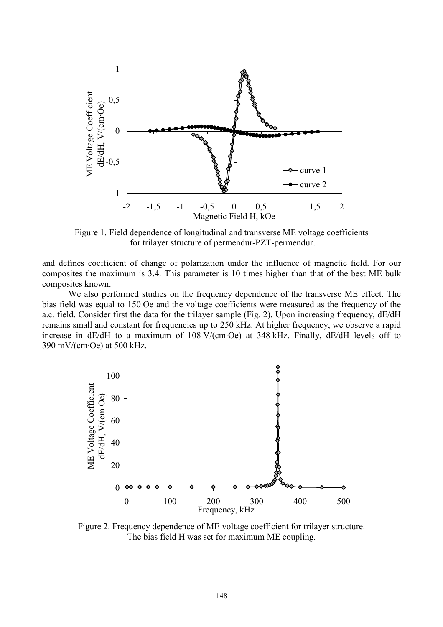

Figure 1. Field dependence of longitudinal and transverse ME voltage coefficients for trilayer structure of permendur-PZT-permendur.

and defines coefficient of change of polarization under the influence of magnetic field. For our composites the maximum is 3.4. This parameter is 10 times higher than that of the best ME bulk composites known.

We also performed studies on the frequency dependence of the transverse ME effect. The bias field was equal to 150 Oe and the voltage coefficients were measured as the frequency of the a.c. field. Consider first the data for the trilayer sample (Fig. 2). Upon increasing frequency, dE/dH remains small and constant for frequencies up to 250 kHz. At higher frequency, we observe a rapid increase in dE/dH to a maximum of 108 V/(cm·Oe) at 348 kHz. Finally, dE/dH levels off to 390 mV/(cm·Oe) at 500 kHz.



Figure 2. Frequency dependence of ME voltage coefficient for trilayer structure. The bias field H was set for maximum ME coupling.